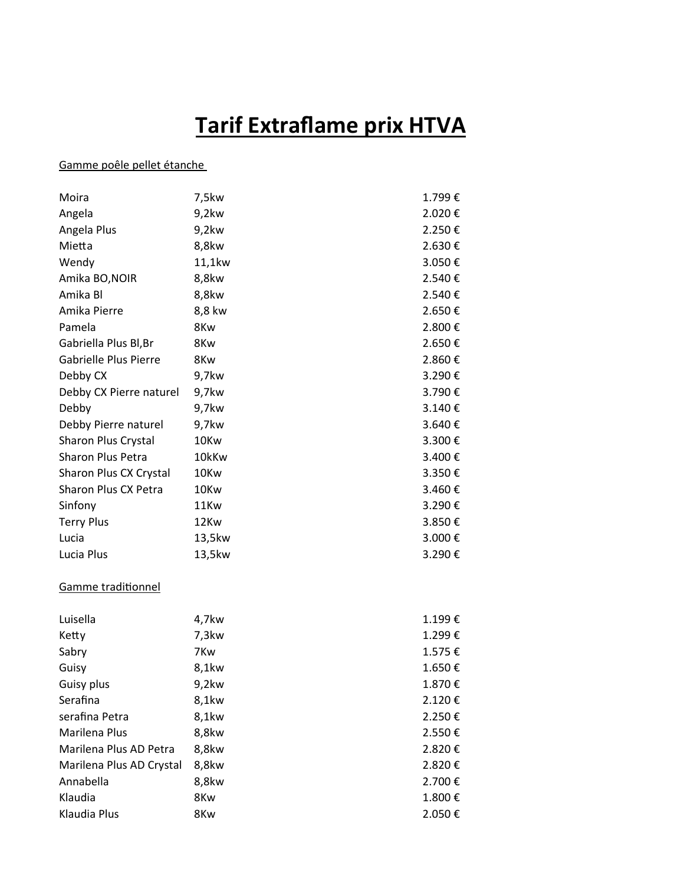## **Tarif Extraflame prix HTVA**

## Gamme poêle pellet étanche

| Moira                    | 7,5kw    | 1.799€ |
|--------------------------|----------|--------|
| Angela                   | 9,2kw    | 2.020€ |
| Angela Plus              | 9,2kw    | 2.250€ |
| Mietta                   | 8,8kw    | 2.630€ |
| Wendy                    | 11,1kw   | 3.050€ |
| Amika BO, NOIR           | 8,8kw    | 2.540€ |
| Amika Bl                 | 8,8kw    | 2.540€ |
| Amika Pierre             | 8,8 kw   | 2.650€ |
| Pamela                   | 8Kw      | 2.800€ |
| Gabriella Plus Bl, Br    | 8Kw      | 2.650€ |
| Gabrielle Plus Pierre    | 8Kw      | 2.860€ |
| Debby CX                 | 9,7kw    | 3.290€ |
| Debby CX Pierre naturel  | 9,7kw    | 3.790€ |
| Debby                    | 9,7kw    | 3.140€ |
| Debby Pierre naturel     | 9,7kw    | 3.640€ |
| Sharon Plus Crystal      | 10Kw     | 3.300€ |
| Sharon Plus Petra        | 10kKw    | 3.400€ |
| Sharon Plus CX Crystal   | 10Kw     | 3.350€ |
| Sharon Plus CX Petra     | 10Kw     | 3.460€ |
| Sinfony                  | 11Kw     | 3.290€ |
| <b>Terry Plus</b>        | 12Kw     | 3.850€ |
| Lucia                    | 13,5kw   | 3.000€ |
| Lucia Plus               | 13,5kw   | 3.290€ |
| Gamme traditionnel       |          |        |
| Luisella                 | 4,7kw    | 1.199€ |
| Ketty                    | $7,3$ kw | 1.299€ |
| Sabry                    | 7Kw      | 1.575€ |
| Guisy                    | 8,1kw    | 1.650€ |
| Guisy plus               | 9,2kw    | 1.870€ |
| Serafina                 | 8,1kw    | 2.120€ |
| serafina Petra           | 8,1kw    | 2.250€ |
| Marilena Plus            | 8,8kw    | 2.550€ |
| Marilena Plus AD Petra   | 8,8kw    | 2.820€ |
| Marilena Plus AD Crystal | 8,8kw    | 2.820€ |
| Annabella                | 8,8kw    | 2.700€ |
| Klaudia                  | 8Kw      | 1.800€ |

Klaudia Plus 8Kw 8Kw 2.050 €